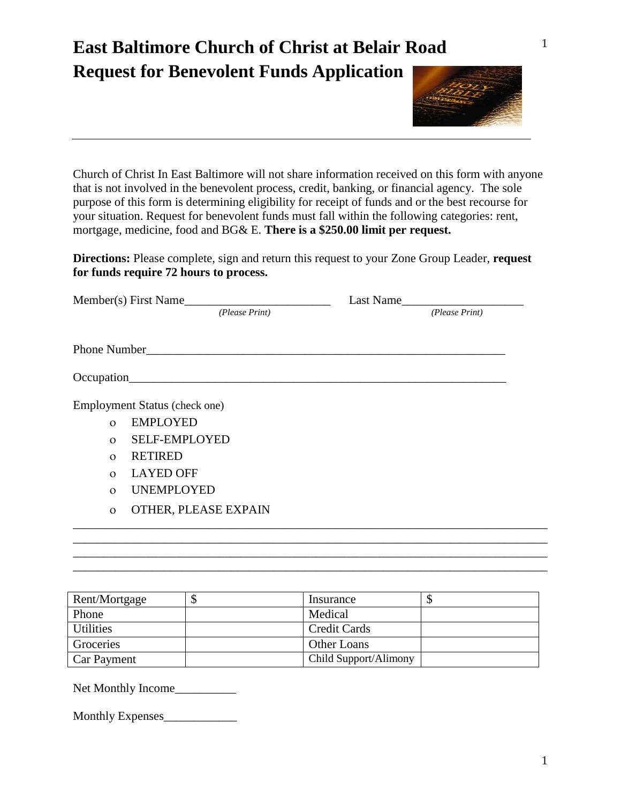## **East Baltimore Church of Christ at Belair Road Request for Benevolent Funds Application**



Church of Christ In East Baltimore will not share information received on this form with anyone that is not involved in the benevolent process, credit, banking, or financial agency. The sole purpose of this form is determining eligibility for receipt of funds and or the best recourse for your situation. Request for benevolent funds must fall within the following categories: rent, mortgage, medicine, food and BG& E. **There is a \$250.00 limit per request.** 

**Directions:** Please complete, sign and return this request to your Zone Group Leader, **request for funds require 72 hours to process.**

|              | Member(s) First Name          | Last Name      |  |
|--------------|-------------------------------|----------------|--|
|              | (Please Print)                | (Please Print) |  |
|              |                               |                |  |
|              |                               |                |  |
|              | Employment Status (check one) |                |  |
| $\Omega$     | <b>EMPLOYED</b>               |                |  |
| $\Omega$     | <b>SELF-EMPLOYED</b>          |                |  |
| $\Omega$     | <b>RETIRED</b>                |                |  |
| $\Omega$     | <b>LAYED OFF</b>              |                |  |
| $\Omega$     | <b>UNEMPLOYED</b>             |                |  |
| $\mathbf{O}$ | OTHER, PLEASE EXPAIN          |                |  |
|              |                               |                |  |
|              |                               |                |  |
|              |                               |                |  |

| Rent/Mortgage    | Insurance             |  |
|------------------|-----------------------|--|
| Phone            | Medical               |  |
| <b>Utilities</b> | <b>Credit Cards</b>   |  |
| Groceries        | Other Loans           |  |
| Car Payment      | Child Support/Alimony |  |

\_\_\_\_\_\_\_\_\_\_\_\_\_\_\_\_\_\_\_\_\_\_\_\_\_\_\_\_\_\_\_\_\_\_\_\_\_\_\_\_\_\_\_\_\_\_\_\_\_\_\_\_\_\_\_\_\_\_\_\_\_\_\_\_\_\_\_\_\_\_\_\_\_\_\_\_\_\_

Net Monthly Income\_\_\_\_\_\_\_\_\_\_

Monthly Expenses\_\_\_\_\_\_\_\_\_\_\_\_